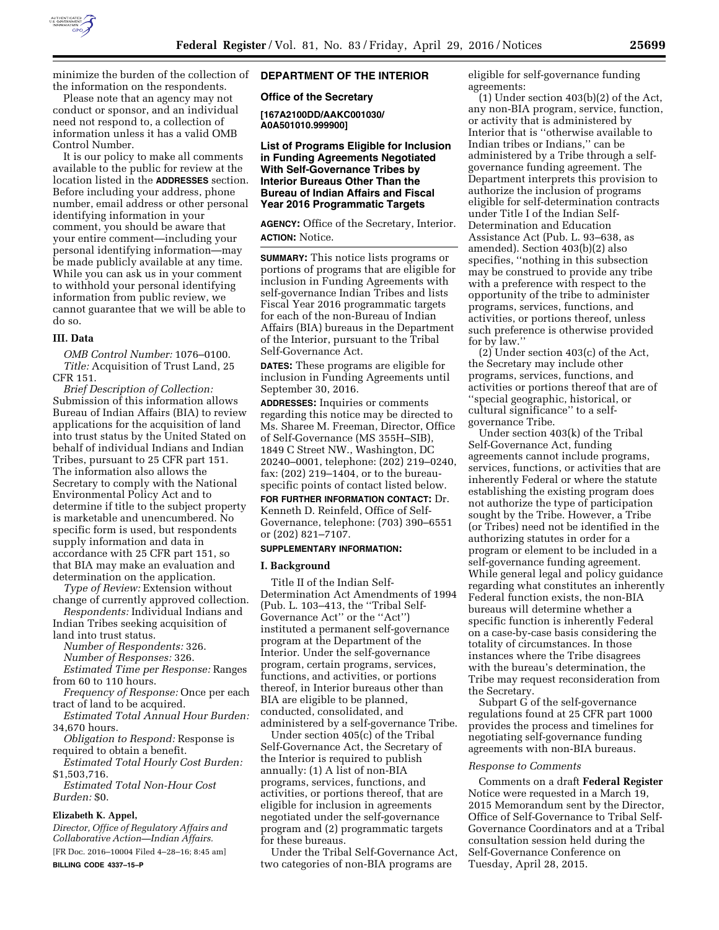

minimize the burden of the collection of the information on the respondents.

Please note that an agency may not conduct or sponsor, and an individual need not respond to, a collection of information unless it has a valid OMB Control Number.

It is our policy to make all comments available to the public for review at the location listed in the **ADDRESSES** section. Before including your address, phone number, email address or other personal identifying information in your comment, you should be aware that your entire comment—including your personal identifying information—may be made publicly available at any time. While you can ask us in your comment to withhold your personal identifying information from public review, we cannot guarantee that we will be able to do so.

#### **III. Data**

*OMB Control Number:* 1076–0100. *Title:* Acquisition of Trust Land, 25 CFR 151.

*Brief Description of Collection:*  Submission of this information allows Bureau of Indian Affairs (BIA) to review applications for the acquisition of land into trust status by the United Stated on behalf of individual Indians and Indian Tribes, pursuant to 25 CFR part 151. The information also allows the Secretary to comply with the National Environmental Policy Act and to determine if title to the subject property is marketable and unencumbered. No specific form is used, but respondents supply information and data in accordance with 25 CFR part 151, so that BIA may make an evaluation and determination on the application.

*Type of Review:* Extension without change of currently approved collection.

*Respondents:* Individual Indians and Indian Tribes seeking acquisition of land into trust status.

*Number of Respondents:* 326.

*Number of Responses:* 326. *Estimated Time per Response:* Ranges

from 60 to 110 hours. *Frequency of Response:* Once per each

tract of land to be acquired. *Estimated Total Annual Hour Burden:* 

34,670 hours.

*Obligation to Respond:* Response is required to obtain a benefit.

*Estimated Total Hourly Cost Burden:*  \$1,503,716.

*Estimated Total Non-Hour Cost Burden:* \$0.

## **Elizabeth K. Appel,**

*Director, Office of Regulatory Affairs and Collaborative Action—Indian Affairs.*  [FR Doc. 2016–10004 Filed 4–28–16; 8:45 am] **BILLING CODE 4337–15–P** 

# **DEPARTMENT OF THE INTERIOR**

**Office of the Secretary** 

**[167A2100DD/AAKC001030/ A0A501010.999900]** 

**List of Programs Eligible for Inclusion in Funding Agreements Negotiated With Self-Governance Tribes by Interior Bureaus Other Than the Bureau of Indian Affairs and Fiscal Year 2016 Programmatic Targets** 

**AGENCY:** Office of the Secretary, Interior. **ACTION:** Notice.

**SUMMARY:** This notice lists programs or portions of programs that are eligible for inclusion in Funding Agreements with self-governance Indian Tribes and lists Fiscal Year 2016 programmatic targets for each of the non-Bureau of Indian Affairs (BIA) bureaus in the Department of the Interior, pursuant to the Tribal Self-Governance Act.

**DATES:** These programs are eligible for inclusion in Funding Agreements until September 30, 2016.

**ADDRESSES:** Inquiries or comments regarding this notice may be directed to Ms. Sharee M. Freeman, Director, Office of Self-Governance (MS 355H–SIB), 1849 C Street NW., Washington, DC 20240–0001, telephone: (202) 219–0240, fax: (202) 219–1404, or to the bureauspecific points of contact listed below.

**FOR FURTHER INFORMATION CONTACT:** Dr. Kenneth D. Reinfeld, Office of Self-Governance, telephone: (703) 390–6551 or (202) 821–7107.

#### **SUPPLEMENTARY INFORMATION:**

#### **I. Background**

Title II of the Indian Self-Determination Act Amendments of 1994 (Pub. L. 103–413, the ''Tribal Self-Governance Act'' or the ''Act'') instituted a permanent self-governance program at the Department of the Interior. Under the self-governance program, certain programs, services, functions, and activities, or portions thereof, in Interior bureaus other than BIA are eligible to be planned, conducted, consolidated, and administered by a self-governance Tribe.

Under section 405(c) of the Tribal Self-Governance Act, the Secretary of the Interior is required to publish annually: (1) A list of non-BIA programs, services, functions, and activities, or portions thereof, that are eligible for inclusion in agreements negotiated under the self-governance program and (2) programmatic targets for these bureaus.

Under the Tribal Self-Governance Act, two categories of non-BIA programs are

eligible for self-governance funding agreements:

(1) Under section 403(b)(2) of the Act, any non-BIA program, service, function, or activity that is administered by Interior that is ''otherwise available to Indian tribes or Indians,'' can be administered by a Tribe through a selfgovernance funding agreement. The Department interprets this provision to authorize the inclusion of programs eligible for self-determination contracts under Title I of the Indian Self-Determination and Education Assistance Act (Pub. L. 93–638, as amended). Section 403(b)(2) also specifies, ''nothing in this subsection may be construed to provide any tribe with a preference with respect to the opportunity of the tribe to administer programs, services, functions, and activities, or portions thereof, unless such preference is otherwise provided for by law.''

(2) Under section 403(c) of the Act, the Secretary may include other programs, services, functions, and activities or portions thereof that are of ''special geographic, historical, or cultural significance'' to a selfgovernance Tribe.

Under section 403(k) of the Tribal Self-Governance Act, funding agreements cannot include programs, services, functions, or activities that are inherently Federal or where the statute establishing the existing program does not authorize the type of participation sought by the Tribe. However, a Tribe (or Tribes) need not be identified in the authorizing statutes in order for a program or element to be included in a self-governance funding agreement. While general legal and policy guidance regarding what constitutes an inherently Federal function exists, the non-BIA bureaus will determine whether a specific function is inherently Federal on a case-by-case basis considering the totality of circumstances. In those instances where the Tribe disagrees with the bureau's determination, the Tribe may request reconsideration from the Secretary.

Subpart G of the self-governance regulations found at 25 CFR part 1000 provides the process and timelines for negotiating self-governance funding agreements with non-BIA bureaus.

#### *Response to Comments*

Comments on a draft **Federal Register**  Notice were requested in a March 19, 2015 Memorandum sent by the Director, Office of Self-Governance to Tribal Self-Governance Coordinators and at a Tribal consultation session held during the Self-Governance Conference on Tuesday, April 28, 2015.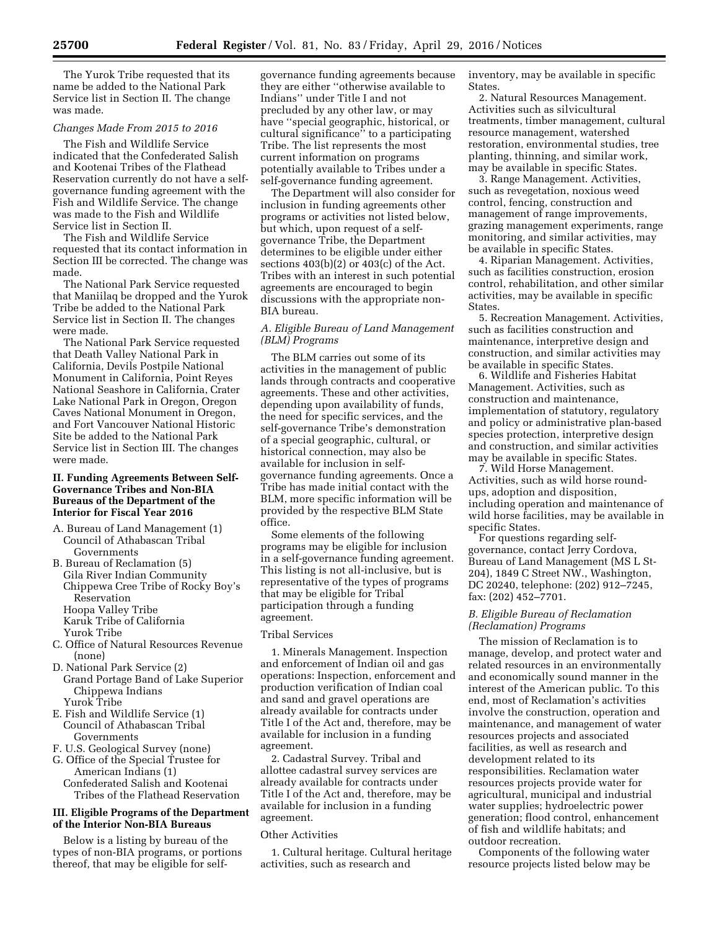The Yurok Tribe requested that its name be added to the National Park Service list in Section II. The change was made.

# *Changes Made From 2015 to 2016*

The Fish and Wildlife Service indicated that the Confederated Salish and Kootenai Tribes of the Flathead Reservation currently do not have a selfgovernance funding agreement with the Fish and Wildlife Service. The change was made to the Fish and Wildlife Service list in Section II.

The Fish and Wildlife Service requested that its contact information in Section III be corrected. The change was made.

The National Park Service requested that Maniilaq be dropped and the Yurok Tribe be added to the National Park Service list in Section II. The changes were made.

The National Park Service requested that Death Valley National Park in California, Devils Postpile National Monument in California, Point Reyes National Seashore in California, Crater Lake National Park in Oregon, Oregon Caves National Monument in Oregon, and Fort Vancouver National Historic Site be added to the National Park Service list in Section III. The changes were made.

### **II. Funding Agreements Between Self-Governance Tribes and Non-BIA Bureaus of the Department of the Interior for Fiscal Year 2016**

- A. Bureau of Land Management (1) Council of Athabascan Tribal Governments
- B. Bureau of Reclamation (5) Gila River Indian Community Chippewa Cree Tribe of Rocky Boy's Reservation Hoopa Valley Tribe Karuk Tribe of California Yurok Tribe
- C. Office of Natural Resources Revenue (none)
- D. National Park Service (2) Grand Portage Band of Lake Superior Chippewa Indians
- Yurok Tribe E. Fish and Wildlife Service (1) Council of Athabascan Tribal Governments
- F. U.S. Geological Survey (none)
- G. Office of the Special Trustee for American Indians (1) Confederated Salish and Kootenai Tribes of the Flathead Reservation

# **III. Eligible Programs of the Department of the Interior Non-BIA Bureaus**

Below is a listing by bureau of the types of non-BIA programs, or portions thereof, that may be eligible for selfgovernance funding agreements because they are either ''otherwise available to Indians'' under Title I and not precluded by any other law, or may have ''special geographic, historical, or cultural significance'' to a participating Tribe. The list represents the most current information on programs potentially available to Tribes under a self-governance funding agreement.

The Department will also consider for inclusion in funding agreements other programs or activities not listed below, but which, upon request of a selfgovernance Tribe, the Department determines to be eligible under either sections  $403(b)(2)$  or  $403(c)$  of the Act. Tribes with an interest in such potential agreements are encouraged to begin discussions with the appropriate non-BIA bureau.

# *A. Eligible Bureau of Land Management (BLM) Programs*

The BLM carries out some of its activities in the management of public lands through contracts and cooperative agreements. These and other activities, depending upon availability of funds, the need for specific services, and the self-governance Tribe's demonstration of a special geographic, cultural, or historical connection, may also be available for inclusion in selfgovernance funding agreements. Once a Tribe has made initial contact with the BLM, more specific information will be provided by the respective BLM State office.

Some elements of the following programs may be eligible for inclusion in a self-governance funding agreement. This listing is not all-inclusive, but is representative of the types of programs that may be eligible for Tribal participation through a funding agreement.

# Tribal Services

1. Minerals Management. Inspection and enforcement of Indian oil and gas operations: Inspection, enforcement and production verification of Indian coal and sand and gravel operations are already available for contracts under Title I of the Act and, therefore, may be available for inclusion in a funding agreement.

2. Cadastral Survey. Tribal and allottee cadastral survey services are already available for contracts under Title I of the Act and, therefore, may be available for inclusion in a funding agreement.

#### Other Activities

1. Cultural heritage. Cultural heritage activities, such as research and

inventory, may be available in specific States.

2. Natural Resources Management. Activities such as silvicultural treatments, timber management, cultural resource management, watershed restoration, environmental studies, tree planting, thinning, and similar work, may be available in specific States.

3. Range Management. Activities, such as revegetation, noxious weed control, fencing, construction and management of range improvements, grazing management experiments, range monitoring, and similar activities, may be available in specific States.

4. Riparian Management. Activities, such as facilities construction, erosion control, rehabilitation, and other similar activities, may be available in specific States.

5. Recreation Management. Activities, such as facilities construction and maintenance, interpretive design and construction, and similar activities may be available in specific States.

6. Wildlife and Fisheries Habitat Management. Activities, such as construction and maintenance, implementation of statutory, regulatory and policy or administrative plan-based species protection, interpretive design and construction, and similar activities may be available in specific States.

7. Wild Horse Management. Activities, such as wild horse roundups, adoption and disposition, including operation and maintenance of wild horse facilities, may be available in specific States.

For questions regarding selfgovernance, contact Jerry Cordova, Bureau of Land Management (MS L St-204), 1849 C Street NW., Washington, DC 20240, telephone: (202) 912–7245, fax: (202) 452–7701.

# *B. Eligible Bureau of Reclamation (Reclamation) Programs*

The mission of Reclamation is to manage, develop, and protect water and related resources in an environmentally and economically sound manner in the interest of the American public. To this end, most of Reclamation's activities involve the construction, operation and maintenance, and management of water resources projects and associated facilities, as well as research and development related to its responsibilities. Reclamation water resources projects provide water for agricultural, municipal and industrial water supplies; hydroelectric power generation; flood control, enhancement of fish and wildlife habitats; and outdoor recreation.

Components of the following water resource projects listed below may be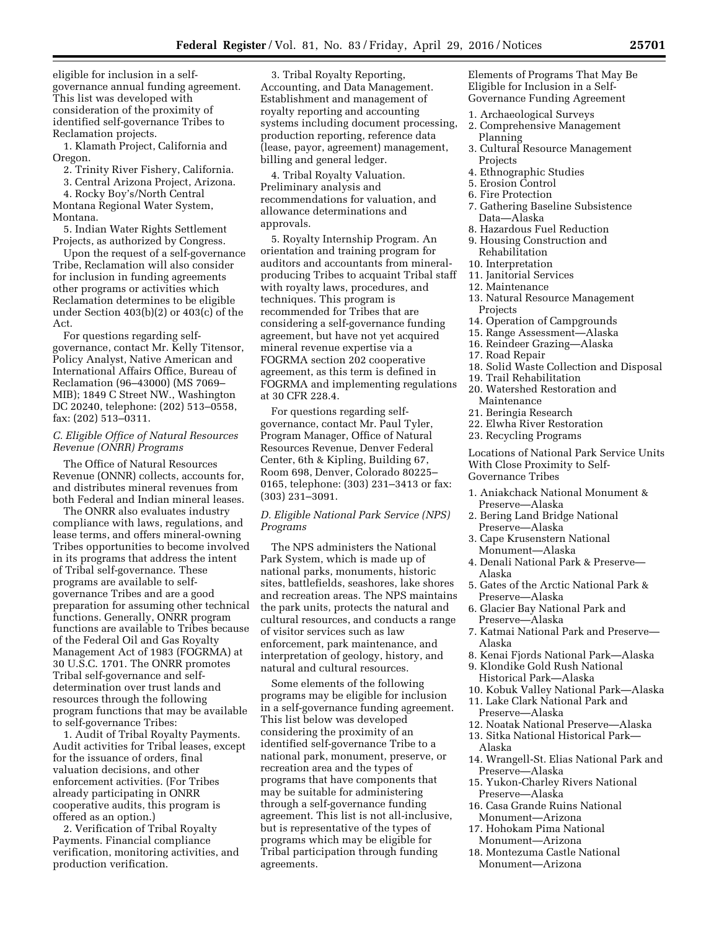eligible for inclusion in a selfgovernance annual funding agreement. This list was developed with consideration of the proximity of identified self-governance Tribes to Reclamation projects.

1. Klamath Project, California and Oregon.

2. Trinity River Fishery, California.

3. Central Arizona Project, Arizona.

4. Rocky Boy's/North Central Montana Regional Water System, Montana.

5. Indian Water Rights Settlement Projects, as authorized by Congress.

Upon the request of a self-governance Tribe, Reclamation will also consider for inclusion in funding agreements other programs or activities which Reclamation determines to be eligible under Section 403(b)(2) or 403(c) of the Act.

For questions regarding selfgovernance, contact Mr. Kelly Titensor, Policy Analyst, Native American and International Affairs Office, Bureau of Reclamation (96–43000) (MS 7069– MIB); 1849 C Street NW., Washington DC 20240, telephone: (202) 513–0558, fax: (202) 513–0311.

### *C. Eligible Office of Natural Resources Revenue (ONRR) Programs*

The Office of Natural Resources Revenue (ONNR) collects, accounts for, and distributes mineral revenues from both Federal and Indian mineral leases.

The ONRR also evaluates industry compliance with laws, regulations, and lease terms, and offers mineral-owning Tribes opportunities to become involved in its programs that address the intent of Tribal self-governance. These programs are available to selfgovernance Tribes and are a good preparation for assuming other technical functions. Generally, ONRR program functions are available to Tribes because of the Federal Oil and Gas Royalty Management Act of 1983 (FOGRMA) at 30 U.S.C. 1701. The ONRR promotes Tribal self-governance and selfdetermination over trust lands and resources through the following program functions that may be available to self-governance Tribes:

1. Audit of Tribal Royalty Payments. Audit activities for Tribal leases, except for the issuance of orders, final valuation decisions, and other enforcement activities. (For Tribes already participating in ONRR cooperative audits, this program is offered as an option.)

2. Verification of Tribal Royalty Payments. Financial compliance verification, monitoring activities, and production verification.

3. Tribal Royalty Reporting, Accounting, and Data Management. Establishment and management of royalty reporting and accounting systems including document processing, production reporting, reference data (lease, payor, agreement) management, billing and general ledger.

4. Tribal Royalty Valuation. Preliminary analysis and recommendations for valuation, and allowance determinations and approvals.

5. Royalty Internship Program. An orientation and training program for auditors and accountants from mineralproducing Tribes to acquaint Tribal staff with royalty laws, procedures, and techniques. This program is recommended for Tribes that are considering a self-governance funding agreement, but have not yet acquired mineral revenue expertise via a FOGRMA section 202 cooperative agreement, as this term is defined in FOGRMA and implementing regulations at 30 CFR 228.4.

For questions regarding selfgovernance, contact Mr. Paul Tyler, Program Manager, Office of Natural Resources Revenue, Denver Federal Center, 6th & Kipling, Building 67, Room 698, Denver, Colorado 80225– 0165, telephone: (303) 231–3413 or fax: (303) 231–3091.

*D. Eligible National Park Service (NPS) Programs* 

The NPS administers the National Park System, which is made up of national parks, monuments, historic sites, battlefields, seashores, lake shores and recreation areas. The NPS maintains the park units, protects the natural and cultural resources, and conducts a range of visitor services such as law enforcement, park maintenance, and interpretation of geology, history, and natural and cultural resources.

Some elements of the following programs may be eligible for inclusion in a self-governance funding agreement. This list below was developed considering the proximity of an identified self-governance Tribe to a national park, monument, preserve, or recreation area and the types of programs that have components that may be suitable for administering through a self-governance funding agreement. This list is not all-inclusive, but is representative of the types of programs which may be eligible for Tribal participation through funding agreements.

Elements of Programs That May Be Eligible for Inclusion in a Self-Governance Funding Agreement

- 1. Archaeological Surveys
- 2. Comprehensive Management Planning
- 3. Cultural Resource Management Projects
- 4. Ethnographic Studies
- 5. Erosion Control
- 6. Fire Protection
- 7. Gathering Baseline Subsistence Data—Alaska
- 8. Hazardous Fuel Reduction
- 9. Housing Construction and Rehabilitation
- 10. Interpretation
- 11. Janitorial Services
- 12. Maintenance
- 13. Natural Resource Management Projects
- 14. Operation of Campgrounds
- 15. Range Assessment—Alaska
- 16. Reindeer Grazing—Alaska
- 17. Road Repair
- 18. Solid Waste Collection and Disposal
- 19. Trail Rehabilitation
- 20. Watershed Restoration and Maintenance
- 21. Beringia Research
- 22. Elwha River Restoration
- 23. Recycling Programs

Locations of National Park Service Units With Close Proximity to Self-Governance Tribes

- 1. Aniakchack National Monument & Preserve—Alaska
- 2. Bering Land Bridge National Preserve—Alaska
- 3. Cape Krusenstern National Monument—Alaska
- 4. Denali National Park & Preserve— Alaska
- 5. Gates of the Arctic National Park & Preserve—Alaska
- 6. Glacier Bay National Park and Preserve—Alaska
- 7. Katmai National Park and Preserve— Alaska
- 8. Kenai Fjords National Park—Alaska
- 9. Klondike Gold Rush National Historical Park—Alaska
- 10. Kobuk Valley National Park—Alaska
- 11. Lake Clark National Park and Preserve—Alaska
- 12. Noatak National Preserve—Alaska
- 13. Sitka National Historical Park— Alaska
- 14. Wrangell-St. Elias National Park and Preserve—Alaska
- 15. Yukon-Charley Rivers National Preserve—Alaska
- 16. Casa Grande Ruins National Monument—Arizona
- 17. Hohokam Pima National Monument—Arizona
- 18. Montezuma Castle National Monument—Arizona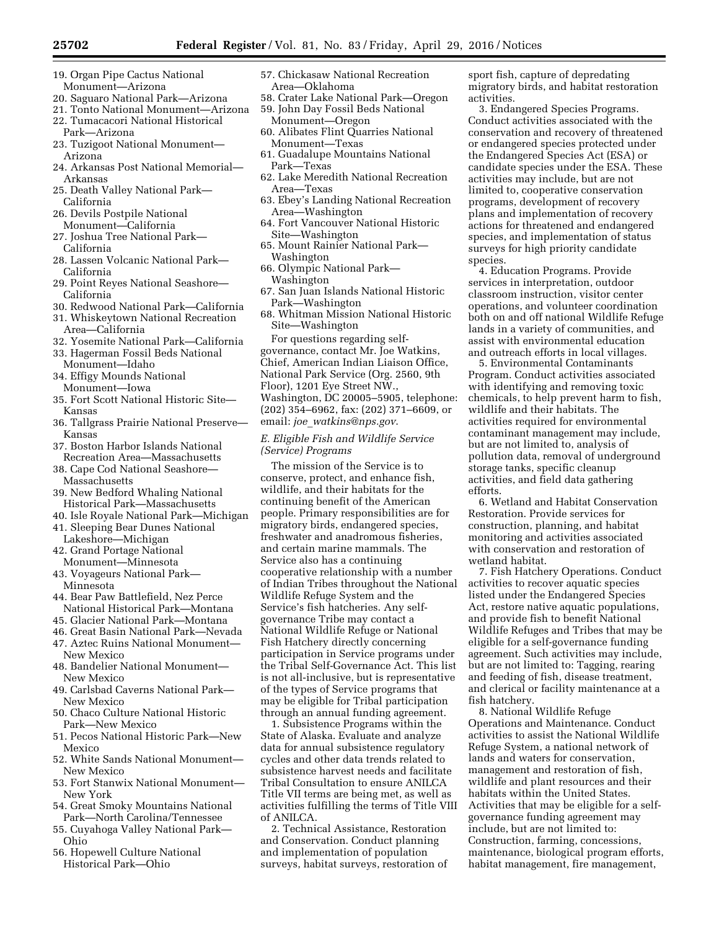- 19. Organ Pipe Cactus National Monument—Arizona
- 20. Saguaro National Park—Arizona
- 21. Tonto National Monument—Arizona
- 22. Tumacacori National Historical Park—Arizona
- 23. Tuzigoot National Monument— Arizona
- 24. Arkansas Post National Memorial— Arkansas
- 25. Death Valley National Park— California
- 26. Devils Postpile National Monument—California
- 27. Joshua Tree National Park— California
- 28. Lassen Volcanic National Park— California
- 29. Point Reyes National Seashore— California
- 30. Redwood National Park—California
- 31. Whiskeytown National Recreation Area—California
- 32. Yosemite National Park—California
- 33. Hagerman Fossil Beds National Monument—Idaho
- 34. Effigy Mounds National
- Monument—Iowa
- 35. Fort Scott National Historic Site— Kansas
- 36. Tallgrass Prairie National Preserve— Kansas
- 37. Boston Harbor Islands National Recreation Area—Massachusetts
- 38. Cape Cod National Seashore— Massachusetts
- 39. New Bedford Whaling National Historical Park—Massachusetts
- 40. Isle Royale National Park—Michigan
- 41. Sleeping Bear Dunes National Lakeshore—Michigan
- 42. Grand Portage National Monument—Minnesota
- 43. Voyageurs National Park— Minnesota
- 44. Bear Paw Battlefield, Nez Perce National Historical Park—Montana
- 45. Glacier National Park—Montana
- 46. Great Basin National Park—Nevada
- 47. Aztec Ruins National Monument— New Mexico
- 48. Bandelier National Monument— New Mexico
- 49. Carlsbad Caverns National Park— New Mexico
- 50. Chaco Culture National Historic Park—New Mexico
- 51. Pecos National Historic Park—New Mexico
- 52. White Sands National Monument— New Mexico
- 53. Fort Stanwix National Monument— New York
- 54. Great Smoky Mountains National Park—North Carolina/Tennessee
- 55. Cuyahoga Valley National Park— Ohio
- 56. Hopewell Culture National Historical Park—Ohio
- 57. Chickasaw National Recreation Area—Oklahoma
- 58. Crater Lake National Park—Oregon
- 59. John Day Fossil Beds National Monument—Oregon
- 60. Alibates Flint Quarries National Monument—Texas
- 61. Guadalupe Mountains National Park—Texas
- 62. Lake Meredith National Recreation Area—Texas
- 63. Ebey's Landing National Recreation Area—Washington
- 64. Fort Vancouver National Historic Site—Washington
- 65. Mount Rainier National Park— Washington
- 66. Olympic National Park— Washington
- 67. San Juan Islands National Historic Park—Washington
- 68. Whitman Mission National Historic Site—Washington

For questions regarding selfgovernance, contact Mr. Joe Watkins, Chief, American Indian Liaison Office, National Park Service (Org. 2560, 9th Floor), 1201 Eye Street NW., Washington, DC 20005–5905, telephone: (202) 354–6962, fax: (202) 371–6609, or email: *joe*\_*[watkins@nps.gov](mailto:joe_watkins@nps.gov)*.

*E. Eligible Fish and Wildlife Service (Service) Programs* 

The mission of the Service is to conserve, protect, and enhance fish, wildlife, and their habitats for the continuing benefit of the American people. Primary responsibilities are for migratory birds, endangered species, freshwater and anadromous fisheries, and certain marine mammals. The Service also has a continuing cooperative relationship with a number of Indian Tribes throughout the National Wildlife Refuge System and the Service's fish hatcheries. Any selfgovernance Tribe may contact a National Wildlife Refuge or National Fish Hatchery directly concerning participation in Service programs under the Tribal Self-Governance Act. This list is not all-inclusive, but is representative of the types of Service programs that may be eligible for Tribal participation through an annual funding agreement.

1. Subsistence Programs within the State of Alaska. Evaluate and analyze data for annual subsistence regulatory cycles and other data trends related to subsistence harvest needs and facilitate Tribal Consultation to ensure ANILCA Title VII terms are being met, as well as activities fulfilling the terms of Title VIII of ANILCA.

2. Technical Assistance, Restoration and Conservation. Conduct planning and implementation of population surveys, habitat surveys, restoration of sport fish, capture of depredating migratory birds, and habitat restoration activities.

3. Endangered Species Programs. Conduct activities associated with the conservation and recovery of threatened or endangered species protected under the Endangered Species Act (ESA) or candidate species under the ESA. These activities may include, but are not limited to, cooperative conservation programs, development of recovery plans and implementation of recovery actions for threatened and endangered species, and implementation of status surveys for high priority candidate species.

4. Education Programs. Provide services in interpretation, outdoor classroom instruction, visitor center operations, and volunteer coordination both on and off national Wildlife Refuge lands in a variety of communities, and assist with environmental education and outreach efforts in local villages.

5. Environmental Contaminants Program. Conduct activities associated with identifying and removing toxic chemicals, to help prevent harm to fish, wildlife and their habitats. The activities required for environmental contaminant management may include, but are not limited to, analysis of pollution data, removal of underground storage tanks, specific cleanup activities, and field data gathering efforts.

6. Wetland and Habitat Conservation Restoration. Provide services for construction, planning, and habitat monitoring and activities associated with conservation and restoration of wetland habitat.

7. Fish Hatchery Operations. Conduct activities to recover aquatic species listed under the Endangered Species Act, restore native aquatic populations, and provide fish to benefit National Wildlife Refuges and Tribes that may be eligible for a self-governance funding agreement. Such activities may include, but are not limited to: Tagging, rearing and feeding of fish, disease treatment, and clerical or facility maintenance at a fish hatchery.

8. National Wildlife Refuge Operations and Maintenance. Conduct activities to assist the National Wildlife Refuge System, a national network of lands and waters for conservation, management and restoration of fish, wildlife and plant resources and their habitats within the United States. Activities that may be eligible for a selfgovernance funding agreement may include, but are not limited to: Construction, farming, concessions, maintenance, biological program efforts, habitat management, fire management,